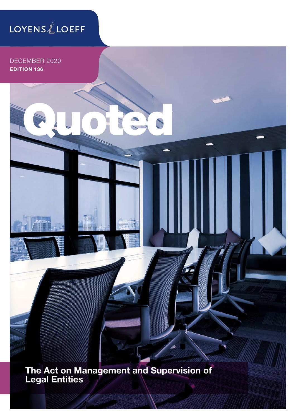# LOYENSLLOEFF

Quoted.

DECEMBER 2020 EDITION 136

> The Act on Management and Supervision of Legal Entities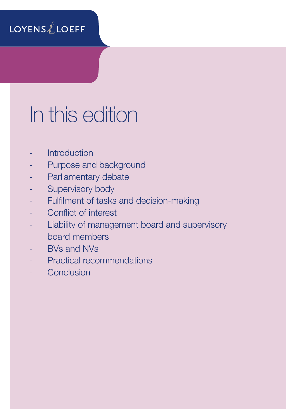# LOYENSLLOEFF

# In this edition

- **Introduction**
- Purpose and background
- Parliamentary debate
- Supervisory body
- Fulfilment of tasks and decision-making
- Conflict of interest
- Liability of management board and supervisory board members
- BVs and NVs
- Practical recommendations
- Conclusion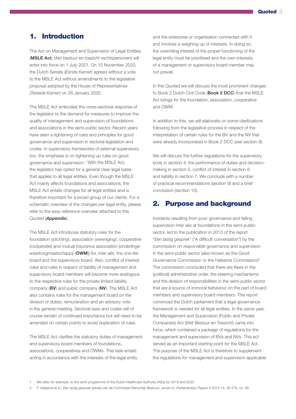# 1. Introduction

The Act on Management and Supervision of Legal Entities (MSLE Act; *Wet bestuur en toezicht rechtspersonen*) will enter into force on 1 July 2021. On 10 November 2020, the Dutch Senate (*Eerste Kamer*) agreed without a vote to the MSLE Act without amendments to the legislative proposal adopted by the House of Representatives (*Tweede Kamer*) on 28 January 2020.

The MSLE Act embodies the cross-sectoral response of the legislator to the demand for measures to improve the quality of management and supervision of foundations and associations in the semi-public sector. Recent years have seen a tightening of rules and principles for good governance and supervision in sectoral legislation and codes. In supervisory frameworks of external supervisors, too, the emphasis is on tightening up rules on good governance and supervision.<sup>1</sup> With the MSLE Act, the legislator has opted for a general clear legal basis that applies to all legal entities. Even though the MSLE Act mainly affects foundations and associations, the MSLE Act entails changes for all legal entities and is therefore important for a broad group of our clients. For a schematic overview of the changes per legal entity, please refer to the *easy reference overview* attached to this Quoted (*Appendix*).

The MSLE Act introduces statutory rules for the foundation (*stichting*), association (*vereniging*), cooperative (*coöperatie*) and mutual insurance association (*onderlinge waarborgmaatschappij* (OWM)) for, *inter alia*, the one-tier board and the supervisory board. Also, conflict of interest rules and rules in respect of liability of management and supervisory board members will become more analogous to the respective rules for the private limited liability company (BV) and public company (NV). The MSLE Act also contains rules for the management board on the division of duties, remuneration and an advisory vote in the general meeting. Sectoral laws and codes will of course remain of continued importance but will need to be amended on certain points to avoid duplication of rules.

The MSLE Act clarifies the statutory duties of management and supervisory board members of foundations, associations, cooperatives and OWMs. This task entails acting in accordance with the interests of the legal entity

and the enterprise or organisation connected with it and involves a weighing up of interests. In doing so, the overriding interest of the proper functioning of the legal entity must be prioritised and the own interests of a management or supervisory board member may not prevail.

In this Quoted we will discuss the most prominent changes to Book 2 Dutch Civil Code (Book 2 DCC) that the MSLE Act brings for the foundation, association, cooperative and OWM.

In addition to this, we will elaborate on some clarifications following from the legislative process in respect of the interpretation of certain rules for the BV and the NV that were already incorporated in Book 2 DCC (see section [8](#page-9-0)).

We will discuss the further regulations for the supervisory body in section [4,](#page-4-0) the performance of duties and decisionmaking in section [5,](#page-5-0) conflict of interest in section [6](#page-7-0) and liability in section 7. We conclude with a number of practical recommendations (section [9](#page-10-0)) and a brief conclusion (section [10](#page-11-0)).

# 2. Purpose and background

Incidents resulting from poor governance and failing supervision *inter alia* at foundations in the semi-public sector, led to the publication in 2013 of the report "*Een lastig gesprek*" ("A difficult conversation") by the commission on responsible governance and supervision in the semi-public sector (also known as the Good Governance Commission or the Halsema Commission)<sup>2</sup>. The commission concluded that there are flaws in the (political) administrative order, the steering mechanisms and the division of responsibilities in the semi-public sector that are a source of immoral behaviour on the part of board members and supervisory board members. This report convinced the Dutch parliament that a legal governance framework is needed for all legal entities. In the same year, the Management and Supervision (Public and Private Companies) Act (*Wet Bestuur en Toezicht*) came into force, which contained a package of regulations for the management and supervision of BVs and NVs. This act served as an important starting point for the MSLE Act. The purpose of the MSLE Act is therefore to supplement the regulations for management and supervision applicable

<sup>1</sup> We refer, for example, to the work programme of the Dutch Healthcare Authority (NZa) for 2019 and 2020.

<sup>2</sup> F. Halsema et al., *Een lastig gesprek* (advies van de Commissie Behoorlijk Bestuur), annex to: *Parliamentary Papers II* 2013-14, 28 479, no. 68.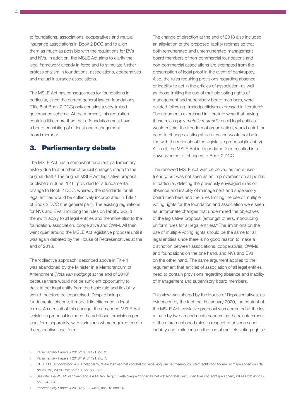to foundations, associations, cooperatives and mutual insurance associations in Book 2 DCC and to align them as much as possible with the regulations for BVs and NVs. In addition, the MSLE Act aims to clarify the legal framework already in force and to stimulate further professionalism in foundations, associations, cooperatives and mutual insurance associations.

The MSLE Act has consequences for foundations in particular, since the current general law on foundations (Title 6 of Book 2 DCC) only contains a very limited governance scheme. At the moment, this regulation contains little more than that a foundation must have a board consisting of at least one management board member.

# 3. Parliamentary debate

The MSLE Act has a somewhat turbulent parliamentary history due to a number of crucial changes made to the original draft.<sup>3</sup> The original MSLE Act legislative proposal, published in June 2016, provided for a fundamental change to Book 2 DCC, whereby the standards for all legal entities would be collectively incorporated in Title 1 of Book 2 DCC (the general part). The existing regulations for NVs and BVs, including the rules on liability, would therewith apply to all legal entities and therefore also to the foundation, association, cooperative and OWM. All then went quiet around the MSLE Act legislative proposal until it was again debated by the House of Representatives at the end of 2018.

The 'collective approach' described above in Title 1 was abandoned by the Minister in a Memorandum of Amendment (*Nota van wijziging*) at the end of 20184 , because there would not be sufficient opportunity to deviate per legal entity from the basic rule and flexibility would therefore be jeopardised. Despite being a fundamental change, it made little difference in legal terms. As a result of this change, the amended MSLE Act legislative proposal included the additional provisions per legal form separately, with variations where required due to the respective legal form.

The change of direction at the end of 2018 also included an alleviation of the proposed liability regimes so that both remunerated and unremunerated management board members of non-commercial foundations and non-commercial associations are exempted from the presumption of legal proof in the event of bankruptcy. Also, the rules requiring provisions regarding absence or inability to act in the articles of association, as well as those limiting the use of multiple voting rights of management and supervisory board members, were deleted following (limited) criticism expressed in literature<sup>5</sup>. The arguments expressed in literature were that having these rules apply *mutatis mutandis* on all legal entities would restrict the freedom of organisation, would entail the need to change existing structures and would not be in line with the rationale of the legislative proposal (flexibility). All in all, the MSLE Act in its updated form resulted in a downsized set of changes to Book 2 DCC.

The renewed MSLE Act was perceived as more userfriendly, but was not seen as an improvement on all points. In particular, deleting the previously envisaged rules on absence and inability of management and supervisory board members and the rules limiting the use of multiple voting rights for the foundation and association were seen as unfortunate changes that undermined the objectives of the legislative proposal (amongst others, introducing uniform rules for all legal entities).<sup>6</sup> The limitations on the use of multiple voting rights should be the same for all legal entities since there is no good reason to make a distinction between associations, cooperatives, OWMs and foundations on the one hand, and NVs and BVs on the other hand. The same argument applies to the requirement that articles of association of all legal entities need to contain provisions regarding absence and inability of management and supervisory board members.

This view was shared by the House of Representatives, as evidenced by the fact that in January 2020, the content of the MSLE Act legislative proposal was corrected at the last minute by two amendments concerning the reinstatement of the aforementioned rules in respect of absence and inability and limitations on the use of multiple voting rights.<sup>7</sup>

- 3 *Parliamentary Papers II* 2015/16, 34491, no. 2.
- *4 Parliamentary* Papers II 2018/19, 34491, no. 7.
- 5 Cf. J.D.M. Schoonbrood & J.J. Meppelink, 'Gevolgen van het voorstel tot beperking van het meervoudig stemrecht voor andere rechtspersonen dan de NV en BV', WPNR 2016/7118, pp. 683-686.
- 6 See *inter alia* W.J.M. van Veen and J.A.M. ten Berg, 'Enkele overpeinzingen bij het wetsvoorstel Bestuur en toezicht rechtspersonen', WPNR 2019/7236, pp. 324-334.
- 7 *Parliamentary Papers II* 20192020, 34491, nos. 13 and 14.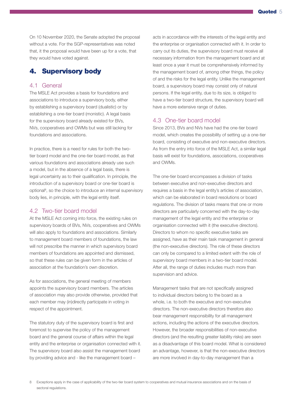<span id="page-4-0"></span>On 10 November 2020, the Senate adopted the proposal without a vote. For the SGP-representatives was noted that, it the proposal would have been up for a vote, that they would have voted against.

# 4. Supervisory body

#### 4.1 General

The MSLE Act provides a basis for foundations and associations to introduce a supervisory body, either by establishing a supervisory board (dualistic) or by establishing a one-tier board (monistic). A legal basis for the supervisory board already existed for BVs, NVs, cooperatives and OWMs but was still lacking for foundations and associations.

In practice, there is a need for rules for both the twotier board model and the one-tier board model, as that various foundations and associations already use such a model, but in the absence of a legal basis, there is legal uncertainty as to their qualification. In principle, the introduction of a supervisory board or one-tier board is optional<sup>8</sup>, so the choice to introduce an internal supervisory body lies, in principle, with the legal entity itself.

#### 4.2 Two-tier board model

At the MSLE Act coming into force, the existing rules on supervisory boards of BVs, NVs, cooperatives and OWMs will also apply to foundations and associations. Similarly to management board members of foundations, the law will not prescribe the manner in which supervisory board members of foundations are appointed and dismissed, so that these rules can be given form in the articles of association at the foundation's own discretion.

As for associations, the general meeting of members appoints the supervisory board members. The articles of association may also provide otherwise, provided that each member may (in)directly participate in voting in respect of the appointment.

The statutory duty of the supervisory board is first and foremost to supervise the policy of the management board and the general course of affairs within the legal entity and the enterprise or organisation connected with it. The supervisory board also assist the management board by providing advice and - like the management board –

acts in accordance with the interests of the legal entity and the enterprise or organisation connected with it. In order to carry out its duties, the supervisory board must receive all necessary information from the management board and at least once a year it must be comprehensively informed by the management board of, among other things, the policy of and the risks for the legal entity. Unlike the management board, a supervisory board may consist only of natural persons. If the legal entity, due to its size, is obliged to have a two-tier board structure, the supervisory board will have a more extensive range of duties.

#### 4.3 One-tier board model

Since 2013, BVs and NVs have had the one-tier board model, which creates the possibility of setting up a one-tier board, consisting of executive and non-executive directors. As from the entry into force of the MSLE Act, a similar legal basis will exist for foundations, associations, cooperatives and OWMs.

The one-tier board encompasses a division of tasks between executive and non-executive directors and requires a basis in the legal entity's articles of association, which can be elaborated in board resolutions or board regulations. The division of tasks means that one or more directors are particularly concerned with the day-to-day management of the legal entity and the enterprise or organisation connected with it (the executive directors). Directors to whom no specific executive tasks are assigned, have as their main task management in general (the non-executive directors). The role of these directors can only be compared to a limited extent with the role of supervisory board members in a two-tier board model. After all, the range of duties includes much more than supervision and advice.

Management tasks that are not specifically assigned to individual directors belong to the board as a whole, i.e. to both the executive and non-executive directors. The non-executive directors therefore also bear management responsibility for all management actions, including the actions of the executive directors. However, the broader responsibilities of non-executive directors (and the resulting greater liability risks) are seen as a disadvantage of this board model. What is considered an advantage, however, is that the non-executive directors are more involved in day-to-day management than a

8 Exceptions apply in the case of applicability of the two-tier board system to cooperatives and mutual insurance associations and on the basis of sectoral regulations.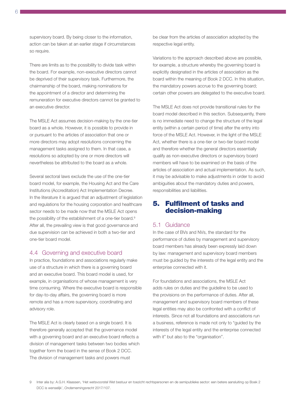supervisory board. By being closer to the information, action can be taken at an earlier stage if circumstances so require.

There are limits as to the possibility to divide task within the board. For example, non-executive directors cannot be deprived of their supervisory task. Furthermore, the chairmanship of the board, making nominations for the appointment of a director and determining the remuneration for executive directors cannot be granted to an executive director.

The MSLE Act assumes decision-making by the one-tier board as a whole. However, it is possible to provide in or pursuant to the articles of association that one or more directors may adopt resolutions concerning the management tasks assigned to them. In that case, a resolutions so adopted by one or more directors will nevertheless be attributed to the board as a whole.

Several sectoral laws exclude the use of the one-tier board model, for example, the Housing Act and the Care Institutions (Accreditation) Act Implementation Decree. In the literature it is argued that an adjustment of legislation and regulations for the housing corporation and healthcare sector needs to be made now that the MSLE Act opens the possibility of the establishment of a one-tier board.<sup>9</sup> After all, the prevailing view is that good governance and due supervision can be achieved in both a two-tier and one-tier board model.

#### 4.4 Governing and executive board

In practice, foundations and associations regularly make use of a structure in which there is a governing board and an executive board. This board model is used, for example, in organisations of whose management is very time consuming. Where the executive board is responsible for day-to-day affairs, the governing board is more remote and has a more supervisory, coordinating and advisory role.

The MSLE Act is clearly based on a single board. It is therefore generally accepted that the governance model with a governing board and an executive board reflects a division of management tasks between two bodies which together form the board in the sense of Book 2 DCC. The division of management tasks and powers must

be clear from the articles of association adopted by the respective legal entity.

Variations to the approach described above are possible, for example, a structure whereby the governing board is explicitly designated in the articles of association as the board within the meaning of Book 2 DCC. In this situation, the mandatory powers accrue to the governing board; certain other powers are delegated to the executive board.

The MSLE Act does not provide transitional rules for the board model described in this section. Subsequently, there is no immediate need to change the structure of the legal entity (within a certain period of time) after the entry into force of the MSLE Act. However, in the light of the MSLE Act, whether there is a one-tier or two-tier board model and therefore whether the general directors essentially qualify as non-executive directors or supervisory board members will have to be examined on the basis of the articles of association and actual implementation. As such, it may be advisable to make adjustments in order to avoid ambiguities about the mandatory duties and powers, responsibilities and liabilities.

# <span id="page-5-0"></span>5. Fulfilment of tasks and decision-making

#### 5.1 Guidance

In the case of BVs and NVs, the standard for the performance of duties by management and supervisory board members has already been expressly laid down by law: management and supervisory board members must be guided by the interests of the legal entity and the enterprise connected with it.

For foundations and associations, the MSLE Act adds rules on duties and the guideline to be used to the provisions on the performance of duties. After all, management and supervisory board members of these legal entities may also be confronted with a conflict of interests. Since not all foundations and associations run a business, reference is made not only to "guided by the interests of the legal entity and the enterprise connected with it" but also to the "organisation".

9 Inter alia by: A.G.H. Klaassen, 'Het wetsvoorstel Wet bestuur en toezicht rechtspersonen en de semipublieke sector: een betere aansluiting op Boek 2 DCC is wenselijk', *Ondernemingsrecht* 2017/107.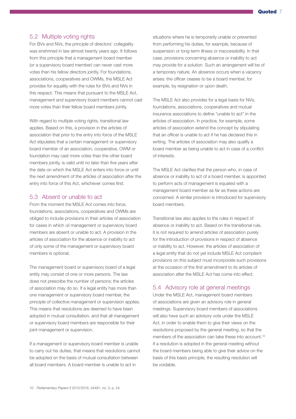#### 5.2 Multiple voting rights

For BVs and NVs, the principle of directors' collegiality was enshrined in law almost twenty years ago. It follows from this principle that a management board member (or a supervisory board member) can never cast more votes than his fellow directors jointly. For foundations, associations, cooperatives and OWMs, the MSLE Act provides for equality with the rules for BVs and NVs in this respect. This means that pursuant to the MSLE Act, management and supervisory board members cannot cast more votes than their fellow board members jointly.

With regard to multiple voting rights, transitional law applies. Based on this, a provision in the articles of association that prior to the entry into force of the MSLE Act stipulates that a certain management or supervisory board member of an association, cooperative, OWM or foundation may cast more votes than the other board members jointly, is valid until no later than five years after the date on which the MSLE Act enters into force or until the next amendment of the articles of association after the entry into force of this Act, whichever comes first.

#### 5.3 Absent or unable to act

From the moment the MSLE Act comes into force, foundations, associations, cooperatives and OWMs are obliged to include provisions in their articles of association for cases in which all management or supervisory board members are absent or unable to act. A provision in the articles of association for the absence or inability to act of only some of the management or supervisory board members is optional.

The management board or supervisory board of a legal entity may consist of one or more persons. The law does not prescribe the number of persons; the articles of association may do so. If a legal entity has more than one management or supervisory board member, the principle of collective management or supervision applies. This means that resolutions are deemed to have been adopted in mutual consultation, and that all management or supervisory board members are responsible for their joint management or supervision.

If a management or supervisory board member is unable to carry out his duties, that means that resolutions cannot be adopted on the basis of mutual consultation between all board members. A board member is unable to act in

situations where he is temporarily unable or prevented from performing his duties, for example, because of suspension or long-term illness or inaccessibility. In that case, provisions concerning absence or inability to act may provide for a solution. Such an arrangement will be of a temporary nature. An absence occurs when a vacancy arises: the officer ceases to be a board member, for example, by resignation or upon death.

The MSLE Act also provides for a legal basis for NVs, foundations, associations, cooperatives and mutual insurance associations to define "unable to act" in the articles of association. In practice, for example, some articles of association extend the concept by stipulating that an officer is unable to act if he has declared this in writing. The articles of association may also qualify a board member as being unable to act in case of a conflict of interests.

The MSLE Act clarifies that the person who, in case of absence or inability to act of a board member, is appointed to perform acts of management is equated with a management board member as far as these actions are concerned. A similar provision is introduced for supervisory board members.

Transitional law also applies to the rules in respect of absence or inability to act. Based on the transitional rule, it is not required to amend articles of association purely for the introduction of provisions in respect of absence or inability to act. However, the articles of association of a legal entity that do not yet include MSLE Act compliant provisions on this subject must incorporate such provisions at the occasion of the first amendment to its articles of association after the MSLE Act has come into effect.

#### 5.4 Advisory role at general meetings

Under the MSLE Act, management board members of associations are given an advisory role in general meetings. Supervisory board members of associations will also have such an advisory vote under the MSLE Act, in order to enable them to give their views on the resolutions proposed by the general meeting, so that the members of the association can take these into account.<sup>10</sup> If a resolution is adopted in the general meeting without the board members being able to give their advice on the basis of this basis principle, the resulting resolution will be voidable.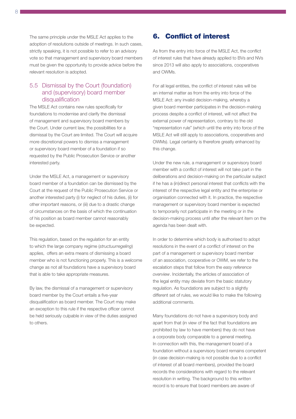The same principle under the MSLE Act applies to the adoption of resolutions outside of meetings. In such cases, strictly speaking, it is not possible to refer to an advisory vote so that management and supervisory board members must be given the opportunity to provide advice before the relevant resolution is adopted.

## 5.5 Dismissal by the Court (foundation) and (supervisory) board member disqualification

The MSLE Act contains new rules specifically for foundations to modernise and clarify the dismissal of management and supervisory board members by the Court. Under current law, the possibilities for a dismissal by the Court are limited. The Court will acquire more discretional powers to dismiss a management or supervisory board member of a foundation if so requested by the Public Prosecution Service or another interested party.

Under the MSLE Act, a management or supervisory board member of a foundation can be dismissed by the Court at the request of the Public Prosecution Service or another interested party (i) for neglect of his duties, (ii) for other important reasons, or (iii) due to a drastic change of circumstances on the basis of which the continuation of his position as board member cannot reasonably be expected.

This regulation, based on the regulation for an entity to which the large company regime (*structuurregeling*) applies, offers an extra means of dismissing a board member who is not functioning properly. This is a welcome change as not all foundations have a supervisory board that is able to take appropriate measures.

By law, the dismissal of a management or supervisory board member by the Court entails a five-year disqualification as board member. The Court may make an exception to this rule if the respective officer cannot be held seriously culpable in view of the duties assigned to others.

# <span id="page-7-0"></span>6. Conflict of interest

As from the entry into force of the MSLE Act, the conflict of interest rules that have already applied to BVs and NVs since 2013 will also apply to associations, cooperatives and OWMs.

For all legal entities, the conflict of interest rules will be an internal matter as from the entry into force of the MSLE Act: any invalid decision-making, whereby a given board member participates in the decision-making process despite a conflict of interest, will not affect the external power of representation, contrary to the old "representation rule" (which until the entry into force of the MSLE Act will still apply to associations, cooperatives and OWMs). Legal certainty is therefore greatly enhanced by this change.

Under the new rule, a management or supervisory board member with a conflict of interest will not take part in the deliberations and decision-making on the particular subject if he has a (in)direct personal interest that conflicts with the interest of the respective legal entity and the enterprise or organisation connected with it. In practice, the respective management or supervisory board member is expected to temporarily not participate in the meeting or in the decision-making process until after the relevant item on the agenda has been dealt with.

In order to determine which body is authorised to adopt resolutions in the event of a conflict of interest on the part of a management or supervisory board member of an association, cooperative or OWM, we refer to the escalation steps that follow from the *easy reference overview*. Incidentally, the articles of association of the legal entity may deviate from the basic statutory regulation. As foundations are subject to a slightly different set of rules, we would like to make the following additional comments.

Many foundations do not have a supervisory body and apart from that (in view of the fact that foundations are prohibited by law to have members) they do not have a corporate body comparable to a general meeting. In connection with this, the management board of a foundation without a supervisory board remains competent (in case decision-making is not possible due to a conflict of interest of all board members), provided the board records the considerations with regard to the relevant resolution in writing. The background to this written record is to ensure that board members are aware of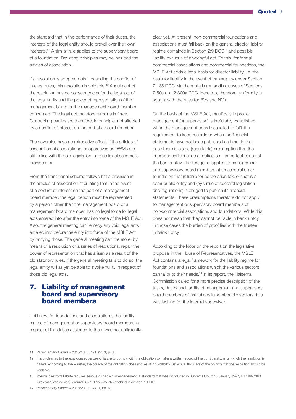the standard that in the performance of their duties, the interests of the legal entity should prevail over their own interests.<sup>11</sup> A similar rule applies to the supervisory board of a foundation. Deviating principles may be included the articles of association.

If a resolution is adopted notwithstanding the conflict of interest rules, this resolution is voidable.<sup>12</sup> Annulment of the resolution has no consequences for the legal act of the legal entity and the power of representation of the management board or the management board member concerned. The legal act therefore remains in force. Contracting parties are therefore, in principle, not affected by a conflict of interest on the part of a board member.

The new rules have no retroactive effect. If the articles of association of associations, cooperatives or OWMs are still in line with the old legislation, a transitional scheme is provided for.

From the transitional scheme follows hat a provision in the articles of association stipulating that in the event of a conflict of interest on the part of a management board member, the legal person must be represented by a person other than the management board or a management board member, has no legal force for legal acts entered into after the entry into force of the MSLE Act. Also, the general meeting can remedy any void legal acts entered into before the entry into force of the MSLE Act by ratifying those. The general meeting can therefore, by means of a resolution or a series of resolutions, repair the power of representation that has arisen as a result of the old statutory rules. If the general meeting fails to do so, the legal entity will as yet be able to invoke nullity in respect of those old legal acts.

# 7. Liability of management board and supervisory board members

Until now, for foundations and associations, the liability regime of management or supervisory board members in respect of the duties assigned to them was not sufficiently clear yet. At present, non-commercial foundations and associations must fall back on the general director liability regime contained in Section 2:9 DCC<sup>13</sup> and possible liability by virtue of a wrongful act. To this, for formal commercial associations and commercial foundations, the MSLE Act adds a legal basis for director liability, i.e. the basis for liability in the event of bankruptcy under Section 2:138 DCC, via the mutatis mutandis clauses of Sections 2:50a and 2:300a DCC. Here too, therefore, uniformity is sought with the rules for BVs and NVs.

On the basis of the MSLE Act, manifestly improper management (or supervision) is irrefutably established when the management board has failed to fulfil the requirement to keep records or when the financial statements have not been published on time. In that case there is also a (rebuttable) presumption that the improper performance of duties is an important cause of the bankruptcy. The foregoing applies to management and supervisory board members of an association or foundation that is liable for corporation tax, or that is a semi-public entity and (by virtue of sectoral legislation) and regulations) is obliged to publish its financial statements. These presumptions therefore do not apply to management or supervisory board members of non-commercial associations and foundations. While this does not mean that they cannot be liable in bankruptcy, in those cases the burden of proof lies with the trustee in bankruptcy.

According to the Note on the report on the legislative proposal in the House of Representatives, the MSLE Act contains a legal framework for the liability regime for foundations and associations which the various sectors can tailor to their needs.<sup>14</sup> In its report, the Halsema Commission called for a more precise description of the tasks, duties and liability of management and supervisory board members of institutions in semi-public sectors: this was lacking for the internal supervisor.

<sup>11</sup> *Parliamentary Papers II* 2015/16, 33491, no. 3, p. 6.

<sup>12</sup> It is unclear as to the legal consequences of failure to comply with the obligation to make a written record of the considerations on which the resolution is based. According to the Minister, the breach of the obligation does not result in voidability. Several authors are of the opinion that the resolution should be voidable.

<sup>13</sup> Internal director's liability requires serious culpable mismanagement, a standard that was introduced in Supreme Court 10 January 1997, NJ 1997/360 (Staleman/Van de Ven), ground 3.3.1. This was later codified in Article 2:9 DCC.

<sup>14</sup> *Parliamentary Papers II* 2018/2019, 34491, no. 6.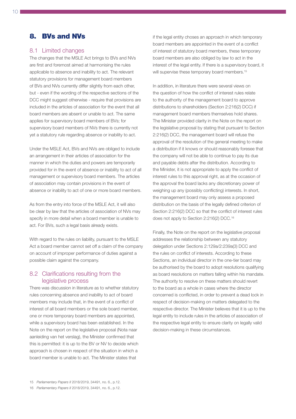# <span id="page-9-0"></span>8. BVs and NVs

#### 8.1 Limited changes

The changes that the MSLE Act brings to BVs and NVs are first and foremost aimed at harmonising the rules applicable to absence and inability to act. The relevant statutory provisions for management board members of BVs and NVs currently differ slightly from each other, but - even if the wording of the respective sections of the DCC might suggest otherwise - require that provisions are included in the articles of association for the event that all board members are absent or unable to act. The same applies for supervisory board members of BVs; for supervisory board members of NVs there is currently not yet a statutory rule regarding absence or inability to act.

Under the MSLE Act, BVs and NVs are obliged to include an arrangement in their articles of association for the manner in which the duties and powers are temporarily provided for in the event of absence or inability to act of all management or supervisory board members. The articles of association may contain provisions in the event of absence or inability to act of one or more board members.

As from the entry into force of the MSLE Act, it will also be clear by law that the articles of association of NVs may specify in more detail when a board member is unable to act. For BVs, such a legal basis already exists.

With regard to the rules on liability, pursuant to the MSLE Act a board member cannot set off a claim of the company on account of improper performance of duties against a possible claim against the company.

## 8.2 Clarifications resulting from the legislative process

There was discussion in literature as to whether statutory rules concerning absence and inability to act of board members may include that, in the event of a conflict of interest of all board members or the sole board member, one or more temporary board members are appointed, while a supervisory board has been established. In the Note on the report on the legislative proposal (Nota naar aanleiding van het verslag), the Minister confirmed that this is permitted: it is up to the BV or NV to decide which approach is chosen in respect of the situation in which a board member is unable to act. The Minister states that

if the legal entity choses an approach in which temporary board members are appointed in the event of a conflict of interest of statutory board members, these temporary board members are also obliged by law to act in the interest of the legal entity. If there is a supervisory board, it will supervise these temporary board members.<sup>15</sup>

In addition, in literature there were several views on the question of how the conflict of interest rules relate to the authority of the management board to approve distributions to shareholders (Section 2:216(2) DCC) if management board members themselves hold shares. The Minister provided clarity in the Note on the report on the legislative proposal by stating that pursuant to Section 2:216(2) DCC, the management board will refuse the approval of the resolution of the general meeting to make a distribution if it knows or should reasonably foresee that the company will not be able to continue to pay its due and payable debts after the distribution. According to the Minister, it is not appropriate to apply the conflict of interest rules to this approval right, as at the occasion of the approval the board lacks any discretionary power of weighing up any (possibly conflicting) interests. In short, the management board may only assess a proposed distribution on the basis of the legally defined criterion of Section 2:216(2) DCC so that the conflict of interest rules does not apply to Section 2:216(2) DCC.16

Finally, the Note on the report on the legislative proposal addresses the relationship between any statutory delegation under Sections 2:129a/2:239a(3) DCC and the rules on conflict of interests. According to these Sections, an individual director in the one-tier board may be authorised by the board to adopt resolutions qualifying as board resolutions on matters falling within his mandate. The authority to resolve on these matters should revert to the board as a whole in cases where the director concerned is conflicted, in order to prevent a dead lock in respect of decision-making on matters delegated to the respective director. The Minister believes that it is up to the legal entity to include rules in the articles of association of the respective legal entity to ensure clarity on legally valid decision-making in these circumstances.

<sup>15</sup> *Parliamentary Papers II* 2018/2019, 34491, no. 6., p.12.

<sup>16</sup> *Parliamentary Papers II* 2018/2019, 34491, no. 6., p.12.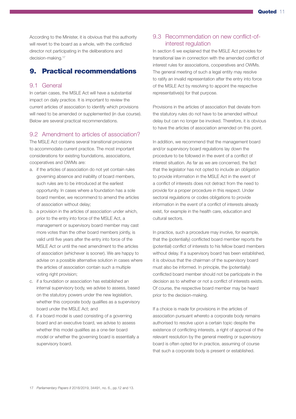According to the Minister, it is obvious that this authority will revert to the board as a whole, with the conflicted director not participating in the deliberations and decision-making.<sup>17</sup>

# <span id="page-10-0"></span>9. Practical recommendations

#### 9.1 General

In certain cases, the MSLE Act will have a substantial impact on daily practice. It is important to review the current articles of association to identify which provisions will need to be amended or supplemented (in due course). Below are several practical recommendations.

#### 9.2 Amendment to articles of association?

The MSLE Act contains several transitional provisions to accommodate current practice. The most important considerations for existing foundations, associations, cooperatives and OWMs are:

- a. if the articles of association do not yet contain rules governing absence and inability of board members, such rules are to be introduced at the earliest opportunity. In cases where a foundation has a sole board member, we recommend to amend the articles of association without delay;
- b. a provision in the articles of association under which, prior to the entry into force of the MSLE Act, a management or supervisory board member may cast more votes than the other board members jointly, is valid until five years after the entry into force of the MSLE Act or until the next amendment to the articles of association (whichever is sooner). We are happy to advise on a possible alternative solution in cases where the articles of association contain such a multiple voting right provision;
- c. if a foundation or association has established an internal supervisory body, we advise to assess, based on the statutory powers under the new legislation, whether this corporate body qualifies as a supervisory board under the MSLE Act; and
- d. if a board model is used consisting of a governing board and an executive board, we advise to assess whether this model qualifies as a one-tier board model or whether the governing board is essentially a supervisory board.

# 9.3 Recommendation on new conflict-ofinterest regulation

In section [6](#page-7-0) we explained that the MSLE Act provides for transitional law in connection with the amended conflict of interest rules for associations, cooperatives and OWMs. The general meeting of such a legal entity may resolve to ratify an invalid representation after the entry into force of the MSLE Act by resolving to appoint the respective representative(s) for that purpose.

Provisions in the articles of association that deviate from the statutory rules do not have to be amended without delay but can no longer be invoked. Therefore, it is obvious to have the articles of association amended on this point.

In addition, we recommend that the management board and/or supervisory board regulations lay down the procedure to be followed in the event of a conflict of interest situation. As far as we are concerned, the fact that the legislator has not opted to include an obligation to provide information in the MSLE Act in the event of a conflict of interests does not detract from the need to provide for a proper procedure in this respect. Under sectoral regulations or codes obligations to provide information in the event of a conflict of interests already exist, for example in the health care, education and cultural sectors.

In practice, such a procedure may involve, for example, that the (potentially) conflicted board member reports the (potential) conflict of interests to his fellow board members without delay. If a supervisory board has been established, it is obvious that the chairman of the supervisory board must also be informed. In principle, the (potentially) conflicted board member should not be participate in the decision as to whether or not a conflict of interests exists. Of course, the respective board member may be heard prior to the decision-making.

If a choice is made for provisions in the articles of association pursuant whereto a corporate body remains authorised to resolve upon a certain topic despite the existence of conflicting interests, a right of approval of the relevant resolution by the general meeting or supervisory board is often opted for in practice, assuming of course that such a corporate body is present or established.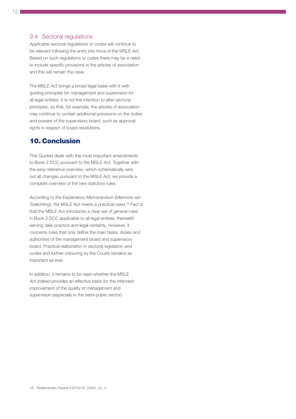#### 9.4 Sectoral regulations

Applicable sectoral regulations or codes will continue to be relevant following the entry into force of the MSLE Act. Based on such regulations or codes there may be a need to include specific provisions in the articles of association and this will remain the case.

The MSLE Act brings a broad legal basis with it with guiding principles for management and supervision for all legal entities. It is not the intention to alter sectoral principles, so that, for example, the articles of association may continue to contain additional provisions on the duties and powers of the supervisory board, such as approval rights in respect of board resolutions.

# <span id="page-11-0"></span>10. Conclusion

This Quoted deals with the most important amendments to Book 2 DCC pursuant to the MSLE Act. Together with the *easy reference overview*, which schematically sets out all changes pursuant to the MSLE Act, we provide a complete overview of the new statutory rules.

According to the Explanatory Memorandum (*Memorie van Toelichting*), the MSLE Act meets a practical need.<sup>18</sup> Fact is that the MSLE Act introduces a clear set of general rules in Book 2 DCC applicable to all legal entities, therewith serving daily practice and legal certainty. However, it concerns rules that only define the main tasks, duties and authorities of the management board and supervisory board. Practical elaboration in sectoral legislation and codes and further colouring by the Courts remains as important as ever.

In addition, it remains to be seen whether the MSLE Act indeed provides an effective basis for the intended improvement of the quality of management and supervision (especially in the semi-public sector).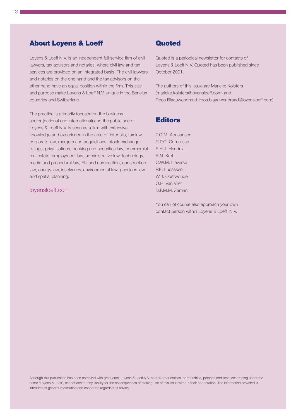# About Loyens & Loeff

Loyens & Loeff N.V. is an independent full service firm of civil lawyers, tax advisors and notaries, where civil law and tax services are provided on an integrated basis. The civil lawyers and notaries on the one hand and the tax advisors on the other hand have an equal position within the firm. This size and purpose make Loyens & Loeff N.V. unique in the Benelux countries and Switzerland.

The practice is primarily focused on the business sector (national and international) and the public sector. Loyens & Loeff N.V. is seen as a firm with extensive knowledge and experience in the area of, inter alia, tax law, corporate law, mergers and acquisitions, stock exchange listings, privatisations, banking and securities law, commercial real estate, employment law, administrative law, technology, media and procedural law, EU and competition, construction law, energy law, insolvency, environmental law, pensions law and spatial planning.

## loyensloeff.com

# **Quoted**

Quoted is a periodical newsletter for contacts of Loyens & Loeff N.V. Quoted has been published since October 2001.

The authors of this issue are Marieke Kolsters (marieke.kolsters@loyensloeff.com) and Roos Blaauwendraad (roos.blaauwendraad@loyensloeff.com).

# **Editors**

P.G.M. Adriaansen R.P.C. Cornelisse E.H.J. Hendrix A.N. Krol C.W.M. Lieverse P.E. Lucassen W.J. Oostwouder Q.H. van Vliet D.F.M.M. Zaman

You can of course also approach your own contact person within Loyens & Loeff N.V.

Although this publication has been compiled with great care, Loyens & Loeff N.V. and all other entities, partnerships, persons and practices trading under the name 'Loyens & Loeff', cannot accept any liability for the consequences of making use of this issue without their cooperation. The information provided is intended as general information and cannot be regarded as advice.